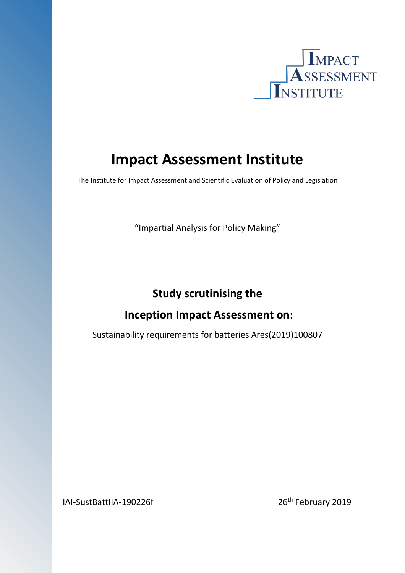

# **Impact Assessment Institute**

The Institute for Impact Assessment and Scientific Evaluation of Policy and Legislation

"Impartial Analysis for Policy Making"

## **Study scrutinising the**

## **Inception Impact Assessment on:**

Sustainability requirements for batteries Ares(2019)100807

IAI-SustBattIIA-190226f 26<sup>th</sup> February 2019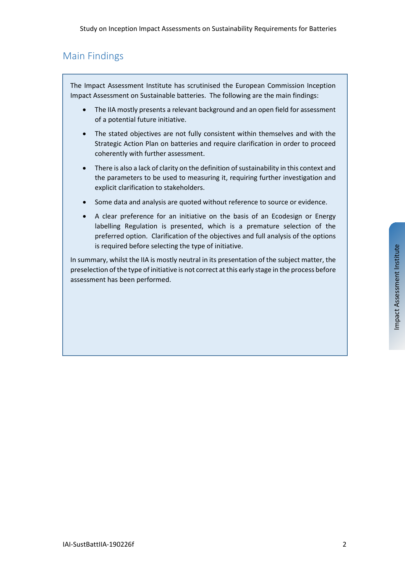## Main Findings

The Impact Assessment Institute has scrutinised the European Commission Inception Impact Assessment on Sustainable batteries. The following are the main findings:

- The IIA mostly presents a relevant background and an open field for assessment of a potential future initiative.
- The stated objectives are not fully consistent within themselves and with the Strategic Action Plan on batteries and require clarification in order to proceed coherently with further assessment.
- There is also a lack of clarity on the definition of sustainability in this context and the parameters to be used to measuring it, requiring further investigation and explicit clarification to stakeholders.
- Some data and analysis are quoted without reference to source or evidence.
- A clear preference for an initiative on the basis of an Ecodesign or Energy labelling Regulation is presented, which is a premature selection of the preferred option. Clarification of the objectives and full analysis of the options is required before selecting the type of initiative.

In summary, whilst the IIA is mostly neutral in its presentation of the subject matter, the preselection ofthe type of initiative is not correct atthis early stage in the process before assessment has been performed.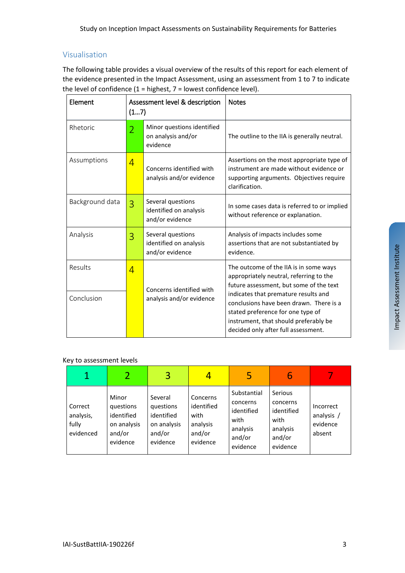### Visualisation

The following table provides a visual overview of the results of this report for each element of the evidence presented in the Impact Assessment, using an assessment from 1 to 7 to indicate the level of confidence  $(1 =$  highest,  $7 =$  lowest confidence level).

| Element         | Assessment level & description<br>(17) |                                                                | <b>Notes</b>                                                                                                                                                                                         |  |  |
|-----------------|----------------------------------------|----------------------------------------------------------------|------------------------------------------------------------------------------------------------------------------------------------------------------------------------------------------------------|--|--|
| Rhetoric        | $\overline{2}$                         | Minor questions identified<br>on analysis and/or<br>evidence   | The outline to the IIA is generally neutral.                                                                                                                                                         |  |  |
| Assumptions     | 4                                      | Concerns identified with<br>analysis and/or evidence           | Assertions on the most appropriate type of<br>instrument are made without evidence or<br>supporting arguments. Objectives require<br>clarification.                                                  |  |  |
| Background data | 3                                      | Several questions<br>identified on analysis<br>and/or evidence | In some cases data is referred to or implied<br>without reference or explanation.                                                                                                                    |  |  |
| Analysis        | 3                                      | Several questions<br>identified on analysis<br>and/or evidence | Analysis of impacts includes some<br>assertions that are not substantiated by<br>evidence.                                                                                                           |  |  |
| Results         | 4                                      | Concerns identified with                                       | The outcome of the IIA is in some ways<br>appropriately neutral, referring to the<br>future assessment, but some of the text                                                                         |  |  |
| Conclusion      |                                        | analysis and/or evidence                                       | indicates that premature results and<br>conclusions have been drawn. There is a<br>stated preference for one type of<br>instrument, that should preferably be<br>decided only after full assessment. |  |  |

#### Key to assessment levels

| $\mathbf 1$                                |                                                                       | 3                                                                       |                                                                  | 5                                                                               | 6                                                                           |                                               |
|--------------------------------------------|-----------------------------------------------------------------------|-------------------------------------------------------------------------|------------------------------------------------------------------|---------------------------------------------------------------------------------|-----------------------------------------------------------------------------|-----------------------------------------------|
| Correct<br>analysis,<br>fully<br>evidenced | Minor<br>questions<br>identified<br>on analysis<br>and/or<br>evidence | Several<br>questions<br>identified<br>on analysis<br>and/or<br>evidence | Concerns<br>identified<br>with<br>analysis<br>and/or<br>evidence | Substantial<br>concerns<br>identified<br>with<br>analysis<br>and/or<br>evidence | Serious<br>concerns<br>identified<br>with<br>analysis<br>and/or<br>evidence | Incorrect<br>analysis /<br>evidence<br>absent |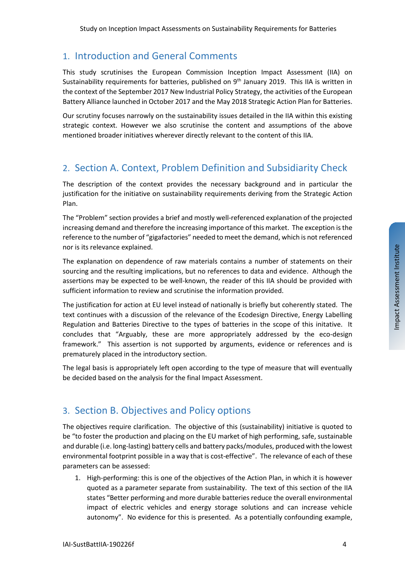#### 1. Introduction and General Comments

This study scrutinises the European Commission Inception Impact Assessment (IIA) on Sustainability requirements for batteries, published on  $9<sup>th</sup>$  January 2019. This IIA is written in the context of the September 2017 New Industrial Policy Strategy, the activities of the European Battery Alliance launched in October 2017 and the May 2018 Strategic Action Plan for Batteries.

Our scrutiny focuses narrowly on the sustainability issues detailed in the IIA within this existing strategic context. However we also scrutinise the content and assumptions of the above mentioned broader initiatives wherever directly relevant to the content of this IIA.

## 2. Section A. Context, Problem Definition and Subsidiarity Check

The description of the context provides the necessary background and in particular the justification for the initiative on sustainability requirements deriving from the Strategic Action Plan.

The "Problem" section provides a brief and mostly well-referenced explanation of the projected increasing demand and therefore the increasing importance of this market. The exception is the reference to the number of "gigafactories" needed to meet the demand, which is not referenced nor is its relevance explained.

The explanation on dependence of raw materials contains a number of statements on their sourcing and the resulting implications, but no references to data and evidence. Although the assertions may be expected to be well-known, the reader of this IIA should be provided with sufficient information to review and scrutinise the information provided.

The justification for action at EU level instead of nationally is briefly but coherently stated. The text continues with a discussion of the relevance of the Ecodesign Directive, Energy Labelling Regulation and Batteries Directive to the types of batteries in the scope of this initative. It concludes that "Arguably, these are more appropriately addressed by the eco-design framework." This assertion is not supported by arguments, evidence or references and is prematurely placed in the introductory section.

The legal basis is appropriately left open according to the type of measure that will eventually be decided based on the analysis for the final Impact Assessment.

### 3. Section B. Objectives and Policy options

The objectives require clarification. The objective of this (sustainability) initiative is quoted to be "to foster the production and placing on the EU market of high performing, safe, sustainable and durable (i.e. long-lasting) battery cells and battery packs/modules, produced with the lowest environmental footprint possible in a way that is cost-effective". The relevance of each of these parameters can be assessed:

1. High-performing: this is one of the objectives of the Action Plan, in which it is however quoted as a parameter separate from sustainability. The text of this section of the IIA states "Better performing and more durable batteries reduce the overall environmental impact of electric vehicles and energy storage solutions and can increase vehicle autonomy". No evidence for this is presented. As a potentially confounding example,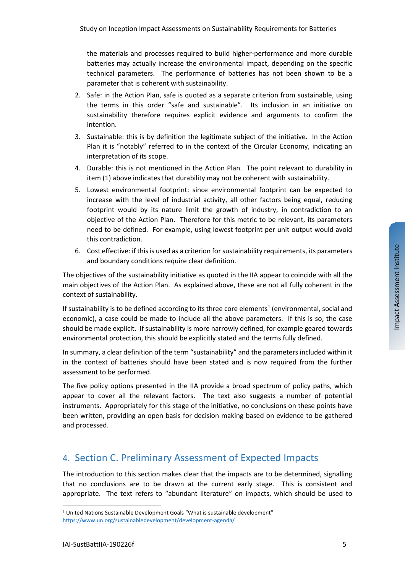the materials and processes required to build higher-performance and more durable batteries may actually increase the environmental impact, depending on the specific technical parameters. The performance of batteries has not been shown to be a parameter that is coherent with sustainability.

- 2. Safe: in the Action Plan, safe is quoted as a separate criterion from sustainable, using the terms in this order "safe and sustainable". Its inclusion in an initiative on sustainability therefore requires explicit evidence and arguments to confirm the intention.
- 3. Sustainable: this is by definition the legitimate subject of the initiative. In the Action Plan it is "notably" referred to in the context of the Circular Economy, indicating an interpretation of its scope.
- 4. Durable: this is not mentioned in the Action Plan. The point relevant to durability in item (1) above indicates that durability may not be coherent with sustainability.
- 5. Lowest environmental footprint: since environmental footprint can be expected to increase with the level of industrial activity, all other factors being equal, reducing footprint would by its nature limit the growth of industry, in contradiction to an objective of the Action Plan. Therefore for this metric to be relevant, its parameters need to be defined. For example, using lowest footprint per unit output would avoid this contradiction.
- 6. Cost effective: if this is used as a criterion for sustainability requirements, its parameters and boundary conditions require clear definition.

The objectives of the sustainability initiative as quoted in the IIA appear to coincide with all the main objectives of the Action Plan. As explained above, these are not all fully coherent in the context of sustainability.

If sustainability is to be defined according to its three core elements<sup>[1](#page-4-0)</sup> (environmental, social and economic), a case could be made to include all the above parameters. If this is so, the case should be made explicit. If sustainability is more narrowly defined, for example geared towards environmental protection, this should be explicitly stated and the terms fully defined.

In summary, a clear definition of the term "sustainability" and the parameters included within it in the context of batteries should have been stated and is now required from the further assessment to be performed.

The five policy options presented in the IIA provide a broad spectrum of policy paths, which appear to cover all the relevant factors. The text also suggests a number of potential instruments. Appropriately for this stage of the initiative, no conclusions on these points have been written, providing an open basis for decision making based on evidence to be gathered and processed.

## 4. Section C. Preliminary Assessment of Expected Impacts

The introduction to this section makes clear that the impacts are to be determined, signalling that no conclusions are to be drawn at the current early stage. This is consistent and appropriate. The text refers to "abundant literature" on impacts, which should be used to

 $\overline{a}$ 

<span id="page-4-0"></span><sup>&</sup>lt;sup>1</sup> United Nations Sustainable Development Goals "What is sustainable development" <https://www.un.org/sustainabledevelopment/development-agenda/>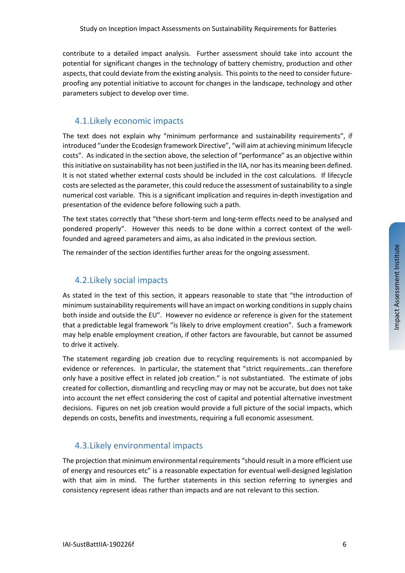contribute to a detailed impact analysis. Further assessment should take into account the potential for significant changes in the technology of battery chemistry, production and other aspects, that could deviate from the existing analysis. This points to the need to consider futureproofing any potential initiative to account for changes in the landscape, technology and other parameters subject to develop over time.

#### 4.1.Likely economic impacts

The text does not explain why "minimum performance and sustainability requirements", if introduced "under the Ecodesign framework Directive", "will aim at achieving minimum lifecycle costs". As indicated in the section above, the selection of "performance" as an objective within this initiative on sustainability has not been justified in the IIA, nor has its meaning been defined. It is not stated whether external costs should be included in the cost calculations. If lifecycle costs are selected as the parameter, this could reduce the assessment of sustainability to a single numerical cost variable. This is a significant implication and requires in-depth investigation and presentation of the evidence before following such a path.

The text states correctly that "these short-term and long-term effects need to be analysed and pondered properly". However this needs to be done within a correct context of the wellfounded and agreed parameters and aims, as also indicated in the previous section.

The remainder of the section identifies further areas for the ongoing assessment.

#### 4.2.Likely social impacts

As stated in the text of this section, it appears reasonable to state that "the introduction of minimum sustainability requirements will have an impact on working conditions in supply chains both inside and outside the EU". However no evidence or reference is given for the statement that a predictable legal framework "is likely to drive employment creation". Such a framework may help enable employment creation, if other factors are favourable, but cannot be assumed to drive it actively.

The statement regarding job creation due to recycling requirements is not accompanied by evidence or references. In particular, the statement that "strict requirements…can therefore only have a positive effect in related job creation." is not substantiated. The estimate of jobs created for collection, dismantling and recycling may or may not be accurate, but does not take into account the net effect considering the cost of capital and potential alternative investment decisions. Figures on net job creation would provide a full picture of the social impacts, which depends on costs, benefits and investments, requiring a full economic assessment.

#### 4.3.Likely environmental impacts

The projection that minimum environmental requirements "should result in a more efficient use of energy and resources etc" is a reasonable expectation for eventual well-designed legislation with that aim in mind. The further statements in this section referring to synergies and consistency represent ideas rather than impacts and are not relevant to this section.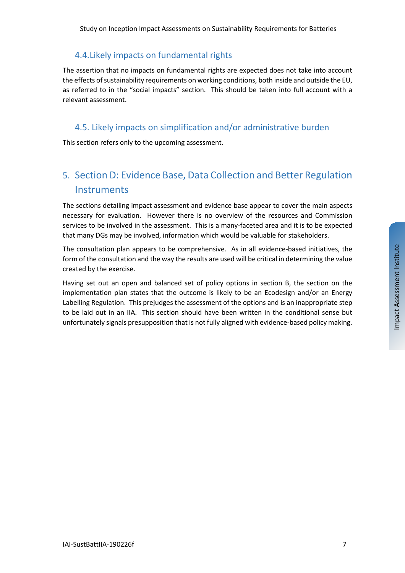## 4.4.Likely impacts on fundamental rights

The assertion that no impacts on fundamental rights are expected does not take into account the effects of sustainability requirements on working conditions, both inside and outside the EU, as referred to in the "social impacts" section. This should be taken into full account with a relevant assessment.

### 4.5. Likely impacts on simplification and/or administrative burden

This section refers only to the upcoming assessment.

## 5. Section D: Evidence Base, Data Collection and Better Regulation **Instruments**

The sections detailing impact assessment and evidence base appear to cover the main aspects necessary for evaluation. However there is no overview of the resources and Commission services to be involved in the assessment. This is a many-faceted area and it is to be expected that many DGs may be involved, information which would be valuable for stakeholders.

The consultation plan appears to be comprehensive. As in all evidence-based initiatives, the form of the consultation and the way the results are used will be critical in determining the value created by the exercise.

Having set out an open and balanced set of policy options in section B, the section on the implementation plan states that the outcome is likely to be an Ecodesign and/or an Energy Labelling Regulation. This prejudges the assessment of the options and is an inappropriate step to be laid out in an IIA. This section should have been written in the conditional sense but unfortunately signals presupposition that is not fully aligned with evidence-based policy making.